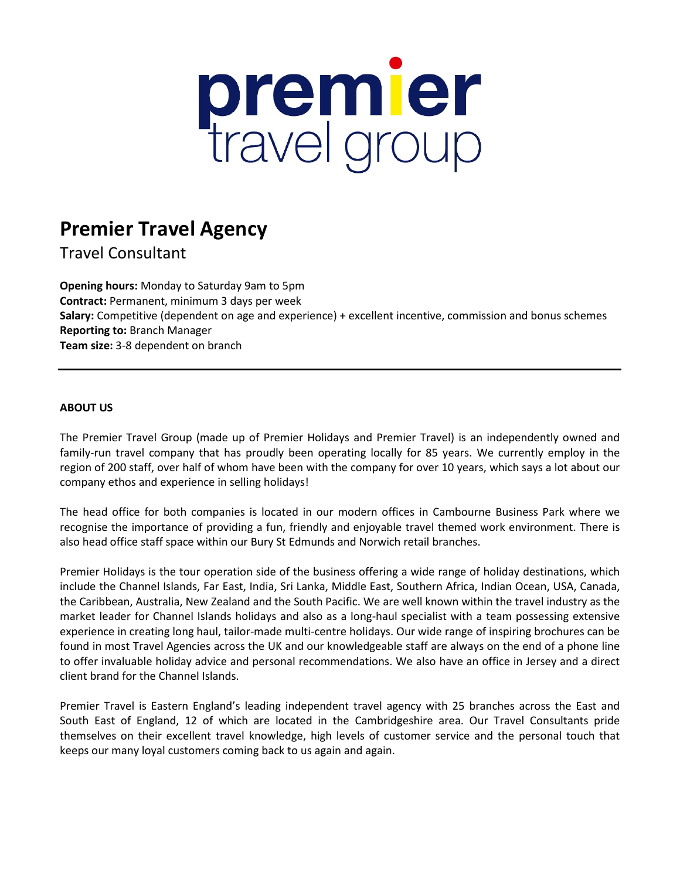# premier<br>travel group

# **Premier Travel Agency**

Travel Consultant

**Opening hours:** Monday to Saturday 9am to 5pm **Contract:** Permanent, minimum 3 days per week **Salary:** Competitive (dependent on age and experience) + excellent incentive, commission and bonus schemes **Reporting to:** Branch Manager **Team size:** 3-8 dependent on branch

## **ABOUT US**

The Premier Travel Group (made up of Premier Holidays and Premier Travel) is an independently owned and family-run travel company that has proudly been operating locally for 85 years. We currently employ in the region of 200 staff, over half of whom have been with the company for over 10 years, which says a lot about our company ethos and experience in selling holidays!

The head office for both companies is located in our modern offices in Cambourne Business Park where we recognise the importance of providing a fun, friendly and enjoyable travel themed work environment. There is also head office staff space within our Bury St Edmunds and Norwich retail branches.

Premier Holidays is the tour operation side of the business offering a wide range of holiday destinations, which include the Channel Islands, Far East, India, Sri Lanka, Middle East, Southern Africa, Indian Ocean, USA, Canada, the Caribbean, Australia, New Zealand and the South Pacific. We are well known within the travel industry as the market leader for Channel Islands holidays and also as a long-haul specialist with a team possessing extensive experience in creating long haul, tailor-made multi-centre holidays. Our wide range of inspiring brochures can be found in most Travel Agencies across the UK and our knowledgeable staff are always on the end of a phone line to offer invaluable holiday advice and personal recommendations. We also have an office in Jersey and a direct client brand for the Channel Islands.

Premier Travel is Eastern England's leading independent travel agency with 25 branches across the East and South East of England, 12 of which are located in the Cambridgeshire area. Our Travel Consultants pride themselves on their excellent travel knowledge, high levels of customer service and the personal touch that keeps our many loyal customers coming back to us again and again.